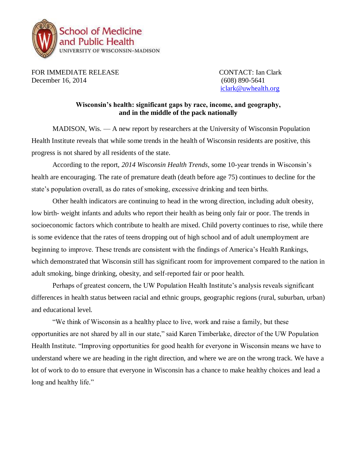

FOR IMMEDIATE RELEASE CONTACT: Ian Clark December 16, 2014 (608) 890-5641

[iclark@uwhealth.org](mailto:iclark@uwhealth.org)

## **Wisconsin's health: significant gaps by race, income, and geography, and in the middle of the pack nationally**

MADISON, Wis. — A new report by researchers at the University of Wisconsin Population Health Institute reveals that while some trends in the health of Wisconsin residents are positive, this progress is not shared by all residents of the state.

According to the report, *2014 Wisconsin Health Trends*, some 10-year trends in Wisconsin's health are encouraging. The rate of premature death (death before age 75) continues to decline for the state's population overall, as do rates of smoking, excessive drinking and teen births.

Other health indicators are continuing to head in the wrong direction, including adult obesity, low birth- weight infants and adults who report their health as being only fair or poor. The trends in socioeconomic factors which contribute to health are mixed. Child poverty continues to rise, while there is some evidence that the rates of teens dropping out of high school and of adult unemployment are beginning to improve. These trends are consistent with the findings of America's Health Rankings, which demonstrated that Wisconsin still has significant room for improvement compared to the nation in adult smoking, binge drinking, obesity, and self-reported fair or poor health.

Perhaps of greatest concern, the UW Population Health Institute's analysis reveals significant differences in health status between racial and ethnic groups, geographic regions (rural, suburban, urban) and educational level.

"We think of Wisconsin as a healthy place to live, work and raise a family, but these opportunities are not shared by all in our state," said Karen Timberlake, director of the UW Population Health Institute. "Improving opportunities for good health for everyone in Wisconsin means we have to understand where we are heading in the right direction, and where we are on the wrong track. We have a lot of work to do to ensure that everyone in Wisconsin has a chance to make healthy choices and lead a long and healthy life."